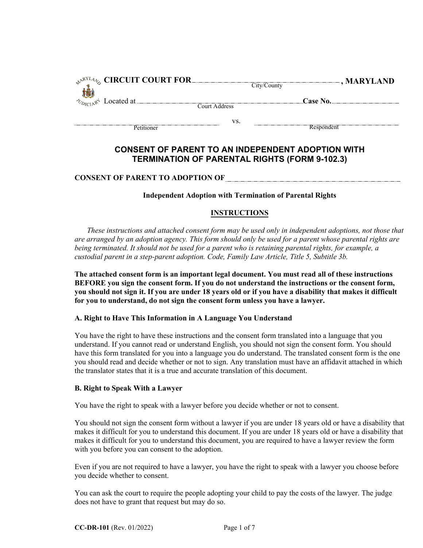| <b>SARVILARS</b> CIRCUIT COURT FOR.               |               | City/County     | , MARYLAND |
|---------------------------------------------------|---------------|-----------------|------------|
| $\sim_{D_{\text{ICIA}}\$ <sup>4</sup> Located at. | Court Address | <b>Case No.</b> |            |
| Petitioner                                        | VS.           | Respondent      |            |

# **CONSENT OF PARENT TO AN INDEPENDENT ADOPTION WITH TERMINATION OF PARENTAL RIGHTS (FORM 9-102.3)**

# **CONSENT OF PARENT TO ADOPTION OF**

## **Independent Adoption with Termination of Parental Rights**

## **INSTRUCTIONS**

*These instructions and attached consent form may be used only in independent adoptions, not those that are arranged by an adoption agency. This form should only be used for a parent whose parental rights are being terminated. It should not be used for a parent who is retaining parental rights, for example, a custodial parent in a step-parent adoption. Code, Family Law Article, Title 5, Subtitle 3b.* 

**The attached consent form is an important legal document. You must read all of these instructions BEFORE you sign the consent form. If you do not understand the instructions or the consent form, you should not sign it. If you are under 18 years old or if you have a disability that makes it difficult for you to understand, do not sign the consent form unless you have a lawyer.**

### **A. Right to Have This Information in A Language You Understand**

You have the right to have these instructions and the consent form translated into a language that you understand. If you cannot read or understand English, you should not sign the consent form. You should have this form translated for you into a language you do understand. The translated consent form is the one you should read and decide whether or not to sign. Any translation must have an affidavit attached in which the translator states that it is a true and accurate translation of this document.

### **B. Right to Speak With a Lawyer**

You have the right to speak with a lawyer before you decide whether or not to consent.

You should not sign the consent form without a lawyer if you are under 18 years old or have a disability that makes it difficult for you to understand this document. If you are under 18 years old or have a disability that makes it difficult for you to understand this document, you are required to have a lawyer review the form with you before you can consent to the adoption.

Even if you are not required to have a lawyer, you have the right to speak with a lawyer you choose before you decide whether to consent.

You can ask the court to require the people adopting your child to pay the costs of the lawyer. The judge does not have to grant that request but may do so.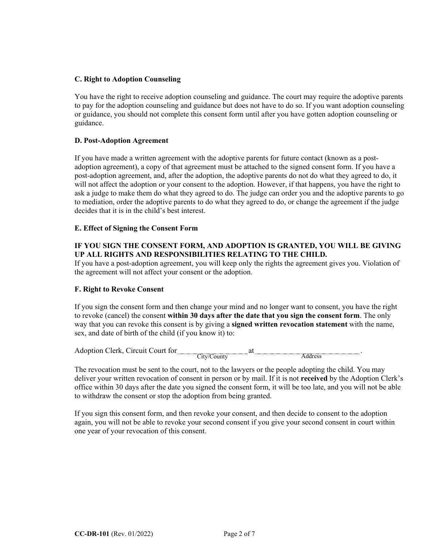# **C. Right to Adoption Counseling**

You have the right to receive adoption counseling and guidance. The court may require the adoptive parents to pay for the adoption counseling and guidance but does not have to do so. If you want adoption counseling or guidance, you should not complete this consent form until after you have gotten adoption counseling or guidance.

# **D. Post-Adoption Agreement**

If you have made a written agreement with the adoptive parents for future contact (known as a postadoption agreement), a copy of that agreement must be attached to the signed consent form. If you have a post-adoption agreement, and, after the adoption, the adoptive parents do not do what they agreed to do, it will not affect the adoption or your consent to the adoption. However, if that happens, you have the right to ask a judge to make them do what they agreed to do. The judge can order you and the adoptive parents to go to mediation, order the adoptive parents to do what they agreed to do, or change the agreement if the judge decides that it is in the child's best interest.

# **E. Effect of Signing the Consent Form**

# **IF YOU SIGN THE CONSENT FORM, AND ADOPTION IS GRANTED, YOU WILL BE GIVING UP ALL RIGHTS AND RESPONSIBILITIES RELATING TO THE CHILD.**

If you have a post-adoption agreement, you will keep only the rights the agreement gives you. Violation of the agreement will not affect your consent or the adoption.

# **F. Right to Revoke Consent**

If you sign the consent form and then change your mind and no longer want to consent, you have the right to revoke (cancel) the consent **within 30 days after the date that you sign the consent form**. The only way that you can revoke this consent is by giving a **signed written revocation statement** with the name, sex, and date of birth of the child (if you know it) to:

| Adoption (<br>lerk.<br>11°C1111' C<br>`ourt<br>tor | 6 L L |  |
|----------------------------------------------------|-------|--|
|                                                    | ounty |  |

The revocation must be sent to the court, not to the lawyers or the people adopting the child. You may deliver your written revocation of consent in person or by mail. If it is not **received** by the Adoption Clerk's office within 30 days after the date you signed the consent form, it will be too late, and you will not be able to withdraw the consent or stop the adoption from being granted.

If you sign this consent form, and then revoke your consent, and then decide to consent to the adoption again, you will not be able to revoke your second consent if you give your second consent in court within one year of your revocation of this consent.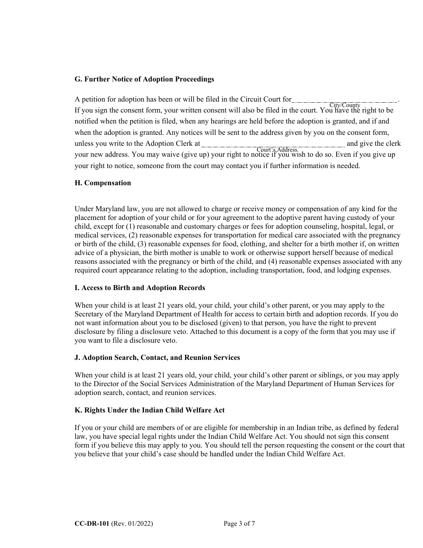## **G. Further Notice of Adoption Proceedings**

A petition for adoption has been or will be filed in the Circuit Court for  $\square$ . If you sign the consent form, your written consent will also be filed in the court. You have the right to be notified when the petition is filed, when any hearings are held before the adoption is granted, and if and when the adoption is granted. Any notices will be sent to the address given by you on the consent form, unless you write to the Adoption Clerk at **All and Solution** and give the clerk your new address. You may waive (give up) your right to notice if you wish to do so. Even if you give up Court's Address your right to notice, someone from the court may contact you if further information is needed. City/County

# **H. Compensation**

Under Maryland law, you are not allowed to charge or receive money or compensation of any kind for the placement for adoption of your child or for your agreement to the adoptive parent having custody of your child, except for (1) reasonable and customary charges or fees for adoption counseling, hospital, legal, or medical services, (2) reasonable expenses for transportation for medical care associated with the pregnancy or birth of the child, (3) reasonable expenses for food, clothing, and shelter for a birth mother if, on written advice of a physician, the birth mother is unable to work or otherwise support herself because of medical reasons associated with the pregnancy or birth of the child, and (4) reasonable expenses associated with any required court appearance relating to the adoption, including transportation, food, and lodging expenses.

## **I. Access to Birth and Adoption Records**

When your child is at least 21 years old, your child, your child's other parent, or you may apply to the Secretary of the Maryland Department of Health for access to certain birth and adoption records. If you do not want information about you to be disclosed (given) to that person, you have the right to prevent disclosure by filing a disclosure veto. Attached to this document is a copy of the form that you may use if you want to file a disclosure veto.

# **J. Adoption Search, Contact, and Reunion Services**

When your child is at least 21 years old, your child, your child's other parent or siblings, or you may apply to the Director of the Social Services Administration of the Maryland Department of Human Services for adoption search, contact, and reunion services.

## **K. Rights Under the Indian Child Welfare Act**

If you or your child are members of or are eligible for membership in an Indian tribe, as defined by federal law, you have special legal rights under the Indian Child Welfare Act. You should not sign this consent form if you believe this may apply to you. You should tell the person requesting the consent or the court that you believe that your child's case should be handled under the Indian Child Welfare Act.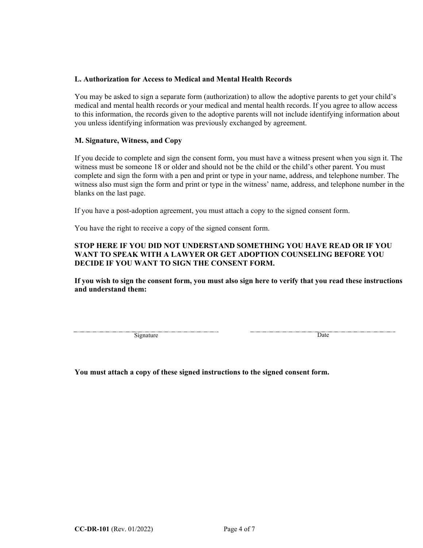## **L. Authorization for Access to Medical and Mental Health Records**

You may be asked to sign a separate form (authorization) to allow the adoptive parents to get your child's medical and mental health records or your medical and mental health records. If you agree to allow access to this information, the records given to the adoptive parents will not include identifying information about you unless identifying information was previously exchanged by agreement.

# **M. Signature, Witness, and Copy**

If you decide to complete and sign the consent form, you must have a witness present when you sign it. The witness must be someone 18 or older and should not be the child or the child's other parent. You must complete and sign the form with a pen and print or type in your name, address, and telephone number. The witness also must sign the form and print or type in the witness' name, address, and telephone number in the blanks on the last page.

If you have a post-adoption agreement, you must attach a copy to the signed consent form.

You have the right to receive a copy of the signed consent form.

# **STOP HERE IF YOU DID NOT UNDERSTAND SOMETHING YOU HAVE READ OR IF YOU WANT TO SPEAK WITH A LAWYER OR GET ADOPTION COUNSELING BEFORE YOU DECIDE IF YOU WANT TO SIGN THE CONSENT FORM.**

**If you wish to sign the consent form, you must also sign here to verify that you read these instructions and understand them:** 

Signature Date

**You must attach a copy of these signed instructions to the signed consent form.**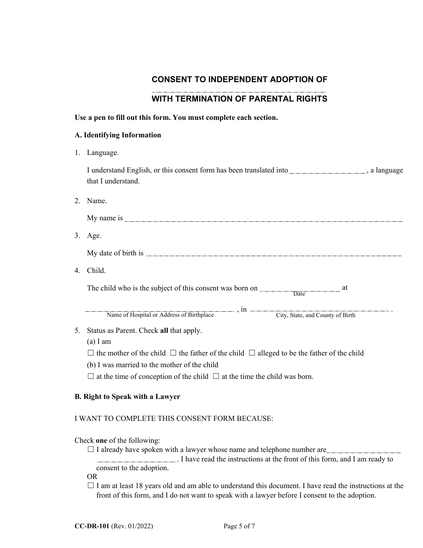# **CONSENT TO INDEPENDENT ADOPTION OF**

# **WITH TERMINATION OF PARENTAL RIGHTS**

### **Use a pen to fill out this form. You must complete each section.**

### **A. Identifying Information**

1. Language.

I understand English, or this consent form has been translated into \_\_\_\_\_\_\_\_\_\_\_\_\_\_\_\_\_\_\_, a language that I understand.

2. Name.

| N١ | ------- |  |  |  |
|----|---------|--|--|--|
|    |         |  |  |  |

3. Age.

My date of birth is

4. Child.

The child who is the subject of this consent was born on <u>Date</u> at

Name of Hospital or Address of Birthplace  $\overline{\text{City, State, and County of Birth}}$ .

5. Status as Parent. Check **all** that apply.

(a) I am

 $□$  the mother of the child  $□$  the father of the child  $□$  alleged to be the father of the child

(b) I was married to the mother of the child

 $\Box$  at the time of conception of the child  $\Box$  at the time the child was born.

## **B. Right to Speak with a Lawyer**

## I WANT TO COMPLETE THIS CONSENT FORM BECAUSE:

### Check **one** of the following:

 $\Box$  I already have spoken with a lawyer whose name and telephone number are

I have read the instructions at the front of this form, and I am ready to consent to the adoption.

OR

 $\Box$  I am at least 18 years old and am able to understand this document. I have read the instructions at the front of this form, and I do not want to speak with a lawyer before I consent to the adoption.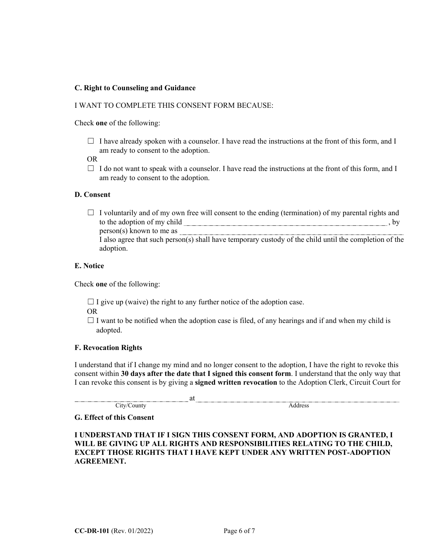### **C. Right to Counseling and Guidance**

### I WANT TO COMPLETE THIS CONSENT FORM BECAUSE:

Check **one** of the following:

- $\Box$  I have already spoken with a counselor. I have read the instructions at the front of this form, and I am ready to consent to the adoption.
- OR
- $\Box$  I do not want to speak with a counselor. I have read the instructions at the front of this form, and I am ready to consent to the adoption.

### **D. Consent**

 $\Box$  I voluntarily and of my own free will consent to the ending (termination) of my parental rights and to the adoption of my child , by person(s) known to me as

I also agree that such person(s) shall have temporary custody of the child until the completion of the adoption.

### **E. Notice**

Check **one** of the following:

 $\Box$  I give up (waive) the right to any further notice of the adoption case.

OR

 $\overline{a}$ 

 $\Box$  I want to be notified when the adoption case is filed, of any hearings and if and when my child is adopted.

### **F. Revocation Rights**

I understand that if I change my mind and no longer consent to the adoption, I have the right to revoke this consent within **30 days after the date that I signed this consent form**. I understand that the only way that I can revoke this consent is by giving a **signed written revocation** to the Adoption Clerk, Circuit Court for

at

City/County Address

## **G. Effect of this Consent**

**I UNDERSTAND THAT IF I SIGN THIS CONSENT FORM, AND ADOPTION IS GRANTED, I WILL BE GIVING UP ALL RIGHTS AND RESPONSIBILITIES RELATING TO THE CHILD, EXCEPT THOSE RIGHTS THAT I HAVE KEPT UNDER ANY WRITTEN POST-ADOPTION AGREEMENT.**